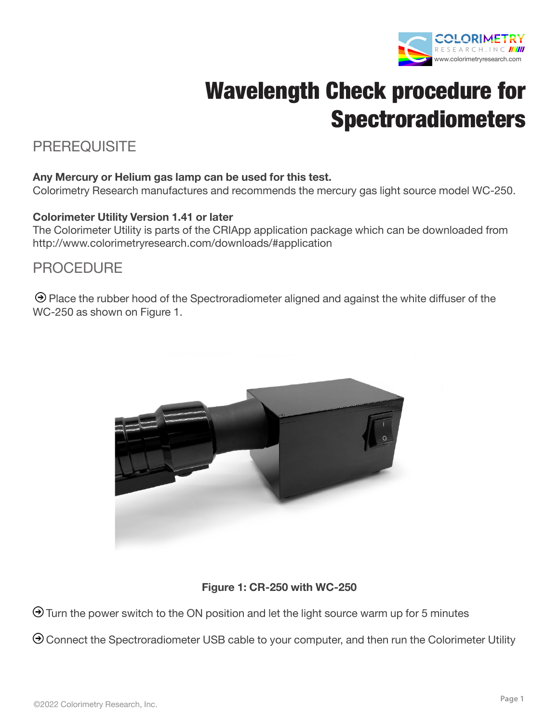

# Wavelength Check procedure for **Spectroradiometers**

## PREREQUISITE

#### **Any Mercury or Helium gas lamp can be used for this test.**

Colorimetry Research manufactures and recommends the mercury gas light source model WC-250.

#### **Colorimeter Utility Version 1.41 or later**

The Colorimeter Utility is parts of the CRIApp application package which can be downloaded from http://www.colorimetryresearch.com/downloads/#application

## PROCEDURE

 $\Theta$  Place the rubber hood of the Spectroradiometer aligned and against the white diffuser of the WC-250 as shown on Figure 1.



### **Figure 1: CR-250 with WC-250**

 $\Theta$  Turn the power switch to the ON position and let the light source warm up for 5 minutes

 $\Theta$  Connect the Spectroradiometer USB cable to your computer, and then run the Colorimeter Utility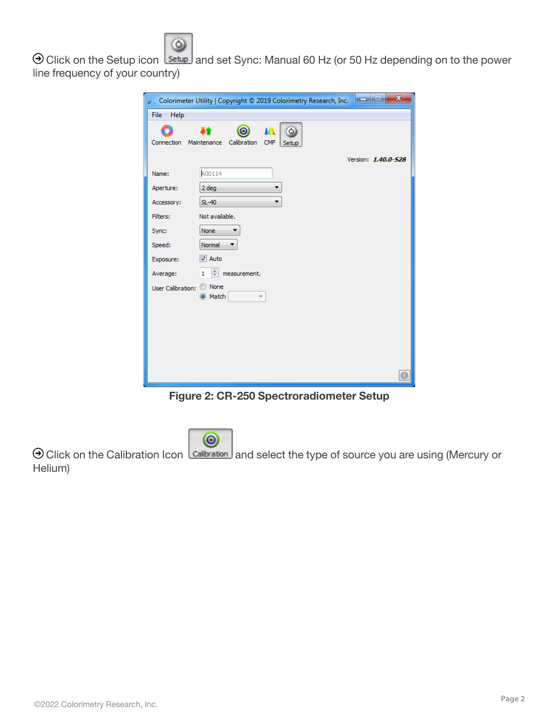

O Click on the Setup icon setup and set Sync: Manual 60 Hz (or 50 Hz depending on to the power line frequency of your country)

| $\mathbf{x}$<br>ه رهر<br>Colorimeter Utility   Copyright © 2019 Colorimetry Research, Inc. |                                                   |  |  |
|--------------------------------------------------------------------------------------------|---------------------------------------------------|--|--|
| <b>File</b><br>Help                                                                        |                                                   |  |  |
|                                                                                            | $\circ$                                           |  |  |
| Connection                                                                                 | Maintenance<br>Calibration<br><b>CMF</b><br>Setup |  |  |
|                                                                                            | Version: 1.40.0-528                               |  |  |
| Name:                                                                                      | A00114                                            |  |  |
| Aperture:                                                                                  | 2 deg<br>▼                                        |  |  |
| Accessory:                                                                                 | $SL-40$                                           |  |  |
| Filters:                                                                                   | Not available.                                    |  |  |
| Sync:                                                                                      | None                                              |  |  |
| Speed:                                                                                     | Normal                                            |  |  |
| Exposure:                                                                                  | $\sqrt{ }$ Auto                                   |  |  |
| Average:                                                                                   | $1 \div$ measurement.                             |  |  |
| User Calibration: © None                                                                   | O Match                                           |  |  |
|                                                                                            |                                                   |  |  |
|                                                                                            |                                                   |  |  |
|                                                                                            |                                                   |  |  |
|                                                                                            |                                                   |  |  |
|                                                                                            |                                                   |  |  |
|                                                                                            |                                                   |  |  |

**Figure 2: CR-250 Spectroradiometer Setup**



 $\Theta$  Click on the Calibration Icon  $\boxed{\text{Calibration}}$  and select the type of source you are using (Mercury or Helium)